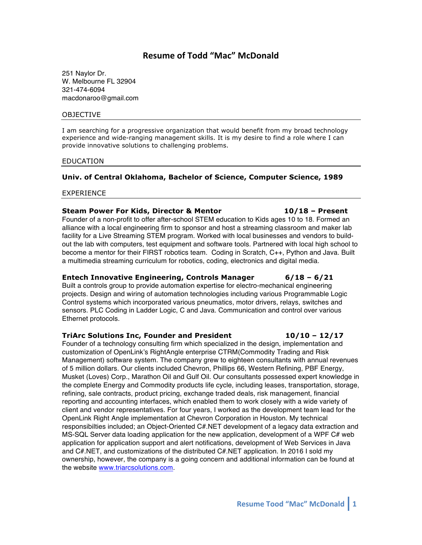# **Resume of Todd "Mac" McDonald**

251 Naylor Dr. W. Melbourne FL 32904 321-474-6094 macdonaroo@gmail.com

#### OBJECTIVE

I am searching for a progressive organization that would benefit from my broad technology experience and wide-ranging management skills. It is my desire to find a role where I can provide innovative solutions to challenging problems.

#### EDUCATION

### **Univ. of Central Oklahoma, Bachelor of Science, Computer Science, 1989**

#### EXPERIENCE

#### **Steam Power For Kids, Director & Mentor 10/18 – Present**

Founder of a non-profit to offer after-school STEM education to Kids ages 10 to 18. Formed an alliance with a local engineering firm to sponsor and host a streaming classroom and maker lab facility for a Live Streaming STEM program. Worked with local businesses and vendors to buildout the lab with computers, test equipment and software tools. Partnered with local high school to become a mentor for their FIRST robotics team. Coding in Scratch, C++, Python and Java. Built a multimedia streaming curriculum for robotics, coding, electronics and digital media.

#### **Entech Innovative Engineering, Controls Manager 6/18 – 6/21**

Built a controls group to provide automation expertise for electro-mechanical engineering projects. Design and wiring of automation technologies including various Programmable Logic Control systems which incorporated various pneumatics, motor drivers, relays, switches and sensors. PLC Coding in Ladder Logic, C and Java. Communication and control over various Ethernet protocols.

#### **TriArc Solutions Inc, Founder and President 10/10 – 12/17**

Founder of a technology consulting firm which specialized in the design, implementation and customization of OpenLink's RightAngle enterprise CTRM(Commodity Trading and Risk Management) software system. The company grew to eighteen consultants with annual revenues of 5 million dollars. Our clients included Chevron, Phillips 66, Western Refining, PBF Energy, Musket (Loves) Corp., Marathon Oil and Gulf Oil. Our consultants possessed expert knowledge in the complete Energy and Commodity products life cycle, including leases, transportation, storage, refining, sale contracts, product pricing, exchange traded deals, risk management, financial reporting and accounting interfaces, which enabled them to work closely with a wide variety of client and vendor representatives. For four years, I worked as the development team lead for the OpenLink Right Angle implementation at Chevron Corporation in Houston. My technical responsibilties included; an Object-Oriented C#.NET development of a legacy data extraction and MS-SQL Server data loading application for the new application, development of a WPF C# web application for application support and alert notifications, development of Web Services in Java and C#.NET, and customizations of the distributed C#.NET application. In 2016 I sold my ownership, however, the company is a going concern and additional information can be found at the website www.triarcsolutions.com.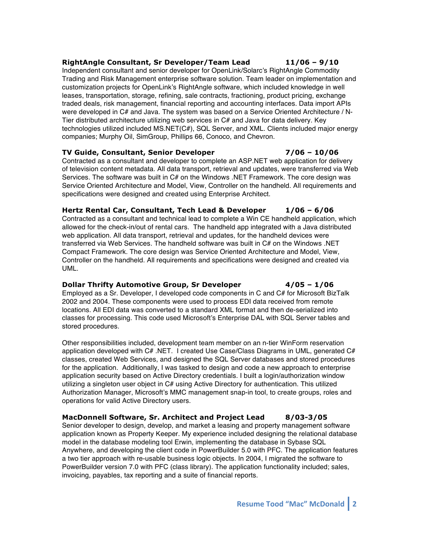# **RightAngle Consultant, Sr Developer/Team Lead 11/06 – 9/10**

Independent consultant and senior developer for OpenLink/Solarc's RightAngle Commodity Trading and Risk Management enterprise software solution. Team leader on implementation and customization projects for OpenLink's RightAngle software, which included knowledge in well leases, transportation, storage, refining, sale contracts, fractioning, product pricing, exchange traded deals, risk management, financial reporting and accounting interfaces. Data import APIs were developed in C# and Java. The system was based on a Service Oriented Architecture / N-Tier distributed architecture utilizing web services in C# and Java for data delivery. Key technologies utilized included MS.NET(C#), SQL Server, and XML. Clients included major energy companies; Murphy Oil, SimGroup, Phillips 66, Conoco, and Chevron.

### **TV Guide, Consultant, Senior Developer 7/06 – 10/06**

Contracted as a consultant and developer to complete an ASP.NET web application for delivery of television content metadata. All data transport, retrieval and updates, were transferred via Web Services. The software was built in C# on the Windows .NET Framework. The core design was Service Oriented Architecture and Model, View, Controller on the handheld. All requirements and specifications were designed and created using Enterprise Architect.

# **Hertz Rental Car, Consultant, Tech Lead & Developer 1/06 – 6/06**

Contracted as a consultant and technical lead to complete a Win CE handheld application, which allowed for the check-in/out of rental cars. The handheld app integrated with a Java distributed web application. All data transport, retrieval and updates, for the handheld devices were transferred via Web Services. The handheld software was built in C# on the Windows .NET Compact Framework. The core design was Service Oriented Architecture and Model, View, Controller on the handheld. All requirements and specifications were designed and created via UML.

# **Dollar Thrifty Automotive Group, Sr Developer 4/05 – 1/06**

Employed as a Sr. Developer, I developed code components in C and C# for Microsoft BizTalk 2002 and 2004. These components were used to process EDI data received from remote locations. All EDI data was converted to a standard XML format and then de-serialized into classes for processing. This code used Microsoft's Enterprise DAL with SQL Server tables and stored procedures.

Other responsibilities included, development team member on an n-tier WinForm reservation application developed with C# .NET. I created Use Case/Class Diagrams in UML, generated C# classes, created Web Services, and designed the SQL Server databases and stored procedures for the application. Additionally, I was tasked to design and code a new approach to enterprise application security based on Active Directory credentials. I built a login/authorization window utilizing a singleton user object in C# using Active Directory for authentication. This utilized Authorization Manager, Microsoft's MMC management snap-in tool, to create groups, roles and operations for valid Active Directory users.

# **MacDonnell Software, Sr. Architect and Project Lead 8/03-3/05**

Senior developer to design, develop, and market a leasing and property management software application known as Property Keeper. My experience included designing the relational database model in the database modeling tool Erwin, implementing the database in Sybase SQL Anywhere, and developing the client code in PowerBuilder 5.0 with PFC. The application features a two tier approach with re-usable business logic objects. In 2004, I migrated the software to PowerBuilder version 7.0 with PFC (class library). The application functionality included; sales, invoicing, payables, tax reporting and a suite of financial reports.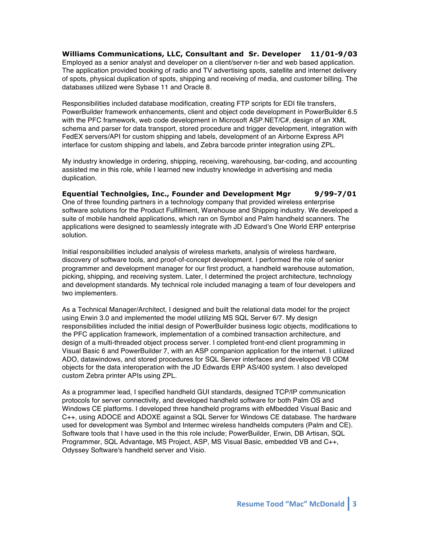**Williams Communications, LLC, Consultant and Sr. Developer 11/01-9/03**  Employed as a senior analyst and developer on a client/server n-tier and web based application. The application provided booking of radio and TV advertising spots, satellite and internet delivery of spots, physical duplication of spots, shipping and receiving of media, and customer billing. The databases utilized were Sybase 11 and Oracle 8.

Responsibilities included database modification, creating FTP scripts for EDI file transfers, PowerBuilder framework enhancements, client and object code development in PowerBuilder 6.5 with the PFC framework, web code development in Microsoft ASP.NET/C#, design of an XML schema and parser for data transport, stored procedure and trigger development, integration with FedEX servers/API for custom shipping and labels, development of an Airborne Express API interface for custom shipping and labels, and Zebra barcode printer integration using ZPL.

My industry knowledge in ordering, shipping, receiving, warehousing, bar-coding, and accounting assisted me in this role, while I learned new industry knowledge in advertising and media duplication.

**Equential Technolgies, Inc., Founder and Development Mgr 9/99-7/01** One of three founding partners in a technology company that provided wireless enterprise software solutions for the Product Fulfillment, Warehouse and Shipping industry. We developed a suite of mobile handheld applications, which ran on Symbol and Palm handheld scanners. The applications were designed to seamlessly integrate with JD Edward's One World ERP enterprise solution.

Initial responsibilities included analysis of wireless markets, analysis of wireless hardware, discovery of software tools, and proof-of-concept development. I performed the role of senior programmer and development manager for our first product, a handheld warehouse automation, picking, shipping, and receiving system. Later, I determined the project architecture, technology and development standards. My technical role included managing a team of four developers and two implementers.

As a Technical Manager/Architect, I designed and built the relational data model for the project using Erwin 3.0 and implemented the model utilizing MS SQL Server 6/7. My design responsibilities included the initial design of PowerBuilder business logic objects, modifications to the PFC application framework, implementation of a combined transaction architecture, and design of a multi-threaded object process server. I completed front-end client programming in Visual Basic 6 and PowerBuilder 7, with an ASP companion application for the internet. I utilized ADO, datawindows, and stored procedures for SQL Server interfaces and developed VB COM objects for the data interoperation with the JD Edwards ERP AS/400 system. I also developed custom Zebra printer APIs using ZPL.

As a programmer lead, I specified handheld GUI standards, designed TCP/IP communication protocols for server connectivity, and developed handheld software for both Palm OS and Windows CE platforms. I developed three handheld programs with eMbedded Visual Basic and C++, using ADOCE and ADOXE against a SQL Server for Windows CE database. The hardware used for development was Symbol and Intermec wireless handhelds computers (Palm and CE). Software tools that I have used in the this role include; PowerBuilder, Erwin, DB Artisan, SQL Programmer, SQL Advantage, MS Project, ASP, MS Visual Basic, embedded VB and C++, Odyssey Software's handheld server and Visio.